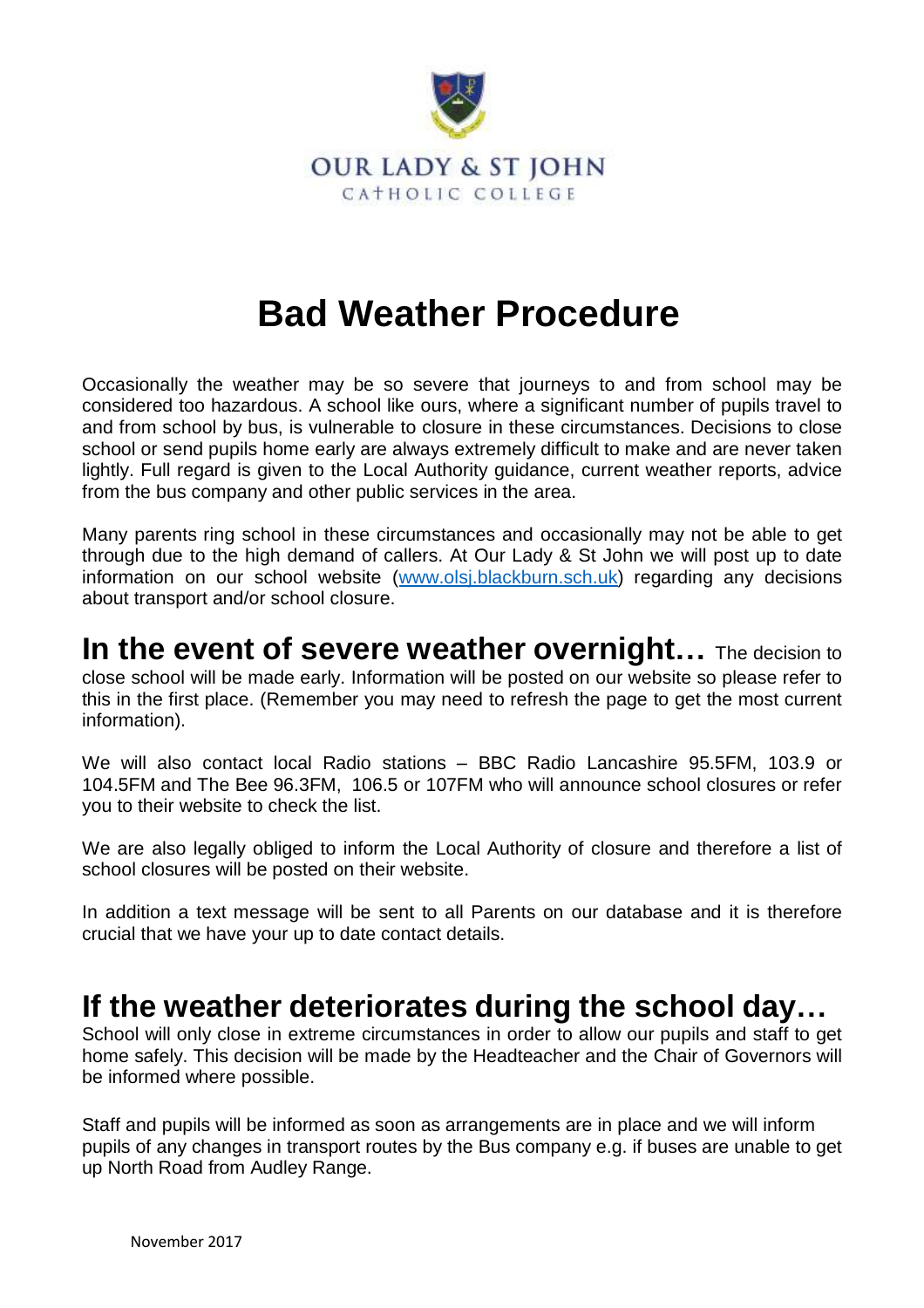

## **Bad Weather Procedure**

Occasionally the weather may be so severe that journeys to and from school may be considered too hazardous. A school like ours, where a significant number of pupils travel to and from school by bus, is vulnerable to closure in these circumstances. Decisions to close school or send pupils home early are always extremely difficult to make and are never taken lightly. Full regard is given to the Local Authority guidance, current weather reports, advice from the bus company and other public services in the area.

Many parents ring school in these circumstances and occasionally may not be able to get through due to the high demand of callers. At Our Lady & St John we will post up to date information on our school website (www.olsj.blackburn.sch.uk) regarding any decisions about transport and/or school closure.

**In the event of severe weather overnight…** The decision to close school will be made early. Information will be posted on our website so please refer to this in the first place. (Remember you may need to refresh the page to get the most current information).

We will also contact local Radio stations – BBC Radio Lancashire 95.5FM, 103.9 or 104.5FM and The Bee 96.3FM, 106.5 or 107FM who will announce school closures or refer you to their website to check the list.

We are also legally obliged to inform the Local Authority of closure and therefore a list of school closures will be posted on their website.

In addition a text message will be sent to all Parents on our database and it is therefore crucial that we have your up to date contact details.

## **If the weather deteriorates during the school day…**

School will only close in extreme circumstances in order to allow our pupils and staff to get home safely. This decision will be made by the Headteacher and the Chair of Governors will be informed where possible.

Staff and pupils will be informed as soon as arrangements are in place and we will inform pupils of any changes in transport routes by the Bus company e.g. if buses are unable to get up North Road from Audley Range.